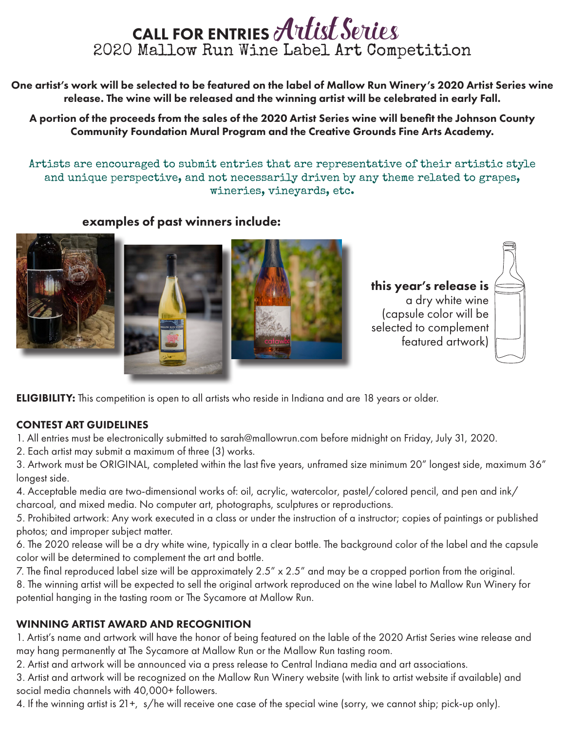## CALL FOR ENTRIES Artist Series 2020 Mallow Run Wine Label Art Competition

One artist's work will be selected to be featured on the label of Mallow Run Winery's 2020 Artist Series wine release. The wine will be released and the winning artist will be celebrated in early Fall.

A portion of the proceeds from the sales of the 2020 Artist Series wine will benefit the Johnson County Community Foundation Mural Program and the Creative Grounds Fine Arts Academy.

Artists are encouraged to submit entries that are representative of their artistic style and unique perspective, and not necessarily driven by any theme related to grapes, wineries, vineyards, etc.

#### examples of past winners include:







this year's release is a dry white wine (capsule color will be selected to complement featured artwork)



**ELIGIBILITY:** This competition is open to all artists who reside in Indiana and are 18 years or older.

#### CONTEST ART GUIDELINES

1. All entries must be electronically submitted to sarah@mallowrun.com before midnight on Friday, July 31, 2020.

2. Each artist may submit a maximum of three (3) works.

3. Artwork must be ORIGINAL, completed within the last five years, unframed size minimum 20" longest side, maximum 36" longest side.

4. Acceptable media are two-dimensional works of: oil, acrylic, watercolor, pastel/colored pencil, and pen and ink/ charcoal, and mixed media. No computer art, photographs, sculptures or reproductions.

5. Prohibited artwork: Any work executed in a class or under the instruction of a instructor; copies of paintings or published photos; and improper subject matter.

6. The 2020 release will be a dry white wine, typically in a clear bottle. The background color of the label and the capsule color will be determined to complement the art and bottle.

7. The final reproduced label size will be approximately 2.5" x 2.5" and may be a cropped portion from the original.

8. The winning artist will be expected to sell the original artwork reproduced on the wine label to Mallow Run Winery for potential hanging in the tasting room or The Sycamore at Mallow Run.

#### WINNING ARTIST AWARD AND RECOGNITION

1. Artist's name and artwork will have the honor of being featured on the lable of the 2020 Artist Series wine release and may hang permanently at The Sycamore at Mallow Run or the Mallow Run tasting room.

2. Artist and artwork will be announced via a press release to Central Indiana media and art associations.

3. Artist and artwork will be recognized on the Mallow Run Winery website (with link to artist website if available) and social media channels with 40,000+ followers.

4. If the winning artist is 21+, s/he will receive one case of the special wine (sorry, we cannot ship; pick-up only).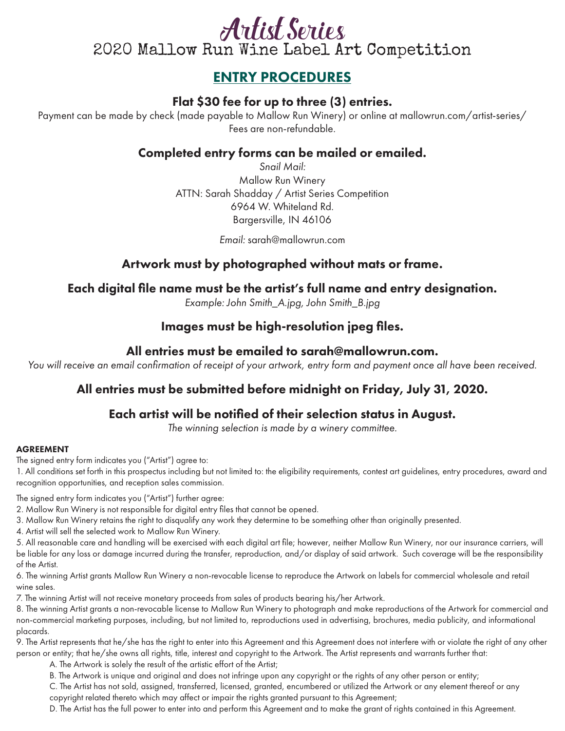## Artist Series 2020 Mallow Run Wine Label Art Competition

### ENTRY PROCEDURES

#### Flat \$30 fee for up to three (3) entries.

Payment can be made by check (made payable to Mallow Run Winery) or online at mallowrun.com/artist-series/ Fees are non-refundable.

#### Completed entry forms can be mailed or emailed.

*Snail Mail:* Mallow Run Winery ATTN: Sarah Shadday / Artist Series Competition 6964 W. Whiteland Rd. Bargersville, IN 46106

*Email:* sarah@mallowrun.com

#### Artwork must by photographed without mats or frame.

#### Each digital file name must be the artist's full name and entry designation.

*Example: John Smith\_A.jpg, John Smith\_B.jpg*

#### Images must be high-resolution jpeg files.

#### All entries must be emailed to sarah@mallowrun.com.

*You will receive an email confirmation of receipt of your artwork, entry form and payment once all have been received.*

#### All entries must be submitted before midnight on Friday, July 31, 2020.

#### Each artist will be notified of their selection status in August.

*The winning selection is made by a winery committee.*

#### AGREEMENT

The signed entry form indicates you ("Artist") agree to:

1. All conditions set forth in this prospectus including but not limited to: the eligibility requirements, contest art guidelines, entry procedures, award and recognition opportunities, and reception sales commission.

The signed entry form indicates you ("Artist") further agree:

- 2. Mallow Run Winery is not responsible for digital entry files that cannot be opened.
- 3. Mallow Run Winery retains the right to disqualify any work they determine to be something other than originally presented.
- 4. Artist will sell the selected work to Mallow Run Winery.

5. All reasonable care and handling will be exercised with each digital art file; however, neither Mallow Run Winery, nor our insurance carriers, will be liable for any loss or damage incurred during the transfer, reproduction, and/or display of said artwork. Such coverage will be the responsibility of the Artist.

6. The winning Artist grants Mallow Run Winery a non-revocable license to reproduce the Artwork on labels for commercial wholesale and retail wine sales.

7. The winning Artist will not receive monetary proceeds from sales of products bearing his/her Artwork.

8. The winning Artist grants a non-revocable license to Mallow Run Winery to photograph and make reproductions of the Artwork for commercial and non-commercial marketing purposes, including, but not limited to, reproductions used in advertising, brochures, media publicity, and informational placards.

9. The Artist represents that he/she has the right to enter into this Agreement and this Agreement does not interfere with or violate the right of any other person or entity; that he/she owns all rights, title, interest and copyright to the Artwork. The Artist represents and warrants further that:

A. The Artwork is solely the result of the artistic effort of the Artist;

B. The Artwork is unique and original and does not infringe upon any copyright or the rights of any other person or entity;

C. The Artist has not sold, assigned, transferred, licensed, granted, encumbered or utilized the Artwork or any element thereof or any copyright related thereto which may affect or impair the rights granted pursuant to this Agreement;

D. The Artist has the full power to enter into and perform this Agreement and to make the grant of rights contained in this Agreement.